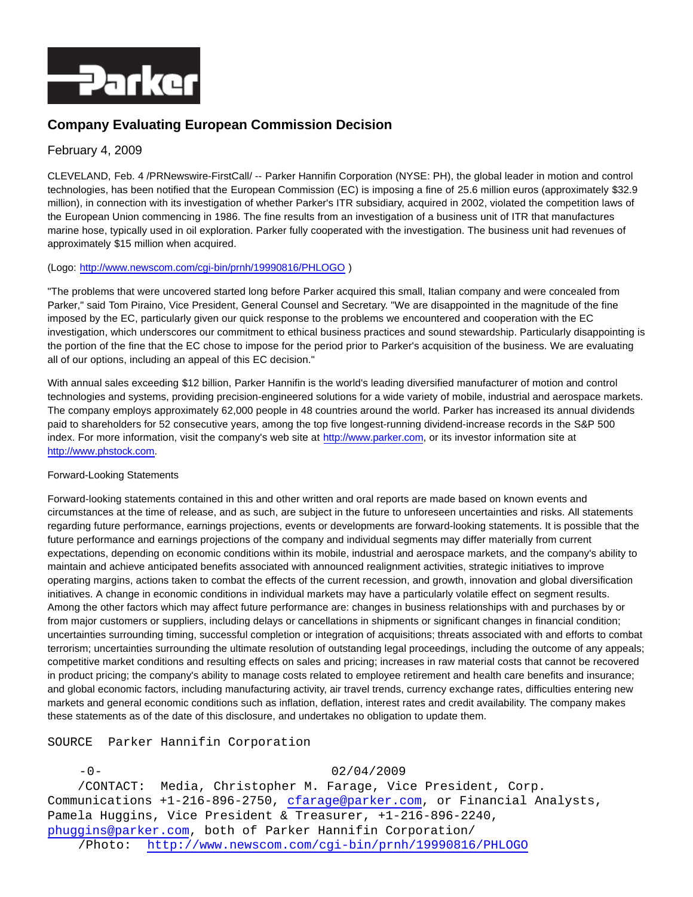

## **Company Evaluating European Commission Decision**

## February 4, 2009

CLEVELAND, Feb. 4 /PRNewswire-FirstCall/ -- Parker Hannifin Corporation (NYSE: PH), the global leader in motion and control technologies, has been notified that the European Commission (EC) is imposing a fine of 25.6 million euros (approximately \$32.9 million), in connection with its investigation of whether Parker's ITR subsidiary, acquired in 2002, violated the competition laws of the European Union commencing in 1986. The fine results from an investigation of a business unit of ITR that manufactures marine hose, typically used in oil exploration. Parker fully cooperated with the investigation. The business unit had revenues of approximately \$15 million when acquired.

## (Logo: [http://www.newscom.com/cgi-bin/prnh/19990816/PHLOGO \)](http://www.newscom.com/cgi-bin/prnh/19990816/PHLOGO)

"The problems that were uncovered started long before Parker acquired this small, Italian company and were concealed from Parker," said Tom Piraino, Vice President, General Counsel and Secretary. "We are disappointed in the magnitude of the fine imposed by the EC, particularly given our quick response to the problems we encountered and cooperation with the EC investigation, which underscores our commitment to ethical business practices and sound stewardship. Particularly disappointing is the portion of the fine that the EC chose to impose for the period prior to Parker's acquisition of the business. We are evaluating all of our options, including an appeal of this EC decision."

With annual sales exceeding \$12 billion, Parker Hannifin is the world's leading diversified manufacturer of motion and control technologies and systems, providing precision-engineered solutions for a wide variety of mobile, industrial and aerospace markets. The company employs approximately 62,000 people in 48 countries around the world. Parker has increased its annual dividends paid to shareholders for 52 consecutive years, among the top five longest-running dividend-increase records in the S&P 500 index. For more information, visit the company's web site at [http://www.parker.com,](http://www.parker.com/) or its investor information site at [http://www.phstock.com.](http://www.phstock.com/)

## Forward-Looking Statements

Forward-looking statements contained in this and other written and oral reports are made based on known events and circumstances at the time of release, and as such, are subject in the future to unforeseen uncertainties and risks. All statements regarding future performance, earnings projections, events or developments are forward-looking statements. It is possible that the future performance and earnings projections of the company and individual segments may differ materially from current expectations, depending on economic conditions within its mobile, industrial and aerospace markets, and the company's ability to maintain and achieve anticipated benefits associated with announced realignment activities, strategic initiatives to improve operating margins, actions taken to combat the effects of the current recession, and growth, innovation and global diversification initiatives. A change in economic conditions in individual markets may have a particularly volatile effect on segment results. Among the other factors which may affect future performance are: changes in business relationships with and purchases by or from major customers or suppliers, including delays or cancellations in shipments or significant changes in financial condition; uncertainties surrounding timing, successful completion or integration of acquisitions; threats associated with and efforts to combat terrorism; uncertainties surrounding the ultimate resolution of outstanding legal proceedings, including the outcome of any appeals; competitive market conditions and resulting effects on sales and pricing; increases in raw material costs that cannot be recovered in product pricing; the company's ability to manage costs related to employee retirement and health care benefits and insurance; and global economic factors, including manufacturing activity, air travel trends, currency exchange rates, difficulties entering new markets and general economic conditions such as inflation, deflation, interest rates and credit availability. The company makes these statements as of the date of this disclosure, and undertakes no obligation to update them.

SOURCE Parker Hannifin Corporation

 $-0$  –  $-0$  –  $02/04/2009$  /CONTACT: Media, Christopher M. Farage, Vice President, Corp. Communications +1-216-896-2750, [cfarage@parker.com,](mailto:cfarage@parker.com) or Financial Analysts, Pamela Huggins, Vice President & Treasurer, +1-216-896-2240, [phuggins@parker.com,](mailto:phuggins@parker.com) both of Parker Hannifin Corporation/ /Photo: <http://www.newscom.com/cgi-bin/prnh/19990816/PHLOGO>